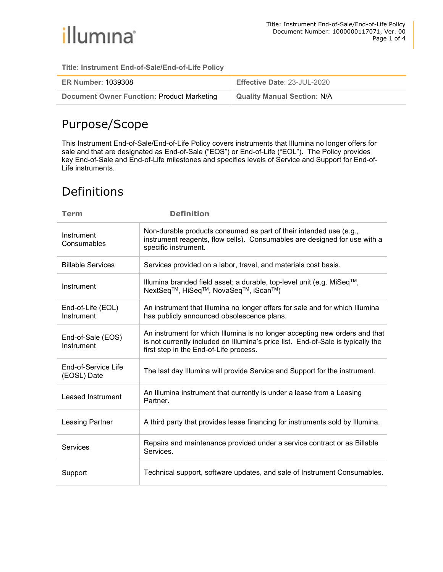

Title: Instrument End-of-Sale/End-of-Life Policy

| <b>ER Number: 1039308</b>                         | Effective Date: 23-JUL-2020        |
|---------------------------------------------------|------------------------------------|
| <b>Document Owner Function: Product Marketing</b> | <b>Quality Manual Section: N/A</b> |

### Purpose/Scope

This Instrument End-of-Sale/End-of-Life Policy covers instruments that Illumina no longer offers for sale and that are designated as End-of-Sale ("EOS") or End-of-Life ("EOL"). The Policy provides key End-of-Sale and End-of-Life milestones and specifies levels of Service and Support for End-of-Life instruments.

# Definitions

| <b>Term</b>                        | <b>Definition</b>                                                                                                                                                                                         |  |
|------------------------------------|-----------------------------------------------------------------------------------------------------------------------------------------------------------------------------------------------------------|--|
| Instrument<br>Consumables          | Non-durable products consumed as part of their intended use (e.g.,<br>instrument reagents, flow cells). Consumables are designed for use with a<br>specific instrument.                                   |  |
| <b>Billable Services</b>           | Services provided on a labor, travel, and materials cost basis.                                                                                                                                           |  |
| Instrument                         | Illumina branded field asset; a durable, top-level unit (e.g. MiSeq™,<br>NextSeq <sup>™</sup> , HiSeq™, NovaSeq™, iScan™)                                                                                 |  |
| End-of-Life (EOL)<br>Instrument    | An instrument that Illumina no longer offers for sale and for which Illumina<br>has publicly announced obsolescence plans.                                                                                |  |
| End-of-Sale (EOS)<br>Instrument    | An instrument for which Illumina is no longer accepting new orders and that<br>is not currently included on Illumina's price list. End-of-Sale is typically the<br>first step in the End-of-Life process. |  |
| End-of-Service Life<br>(EOSL) Date | The last day Illumina will provide Service and Support for the instrument.                                                                                                                                |  |
| Leased Instrument                  | An Illumina instrument that currently is under a lease from a Leasing<br>Partner.                                                                                                                         |  |
| <b>Leasing Partner</b>             | A third party that provides lease financing for instruments sold by Illumina.                                                                                                                             |  |
| Services                           | Repairs and maintenance provided under a service contract or as Billable<br>Services.                                                                                                                     |  |
| Support                            | Technical support, software updates, and sale of Instrument Consumables.                                                                                                                                  |  |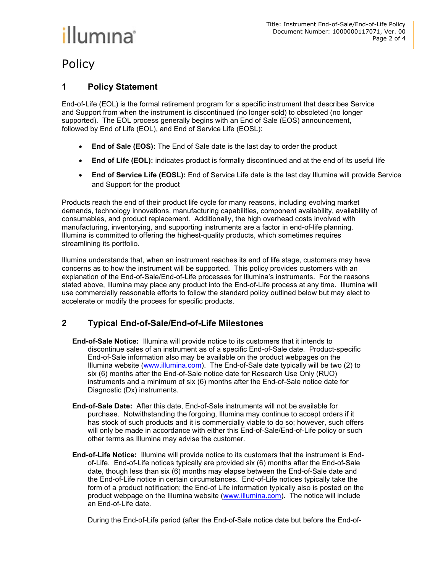# illumına<sup>®</sup>

# Policy

#### 1 Policy Statement

End-of-Life (EOL) is the formal retirement program for a specific instrument that describes Service and Support from when the instrument is discontinued (no longer sold) to obsoleted (no longer supported). The EOL process generally begins with an End of Sale (EOS) announcement, followed by End of Life (EOL), and End of Service Life (EOSL):

- End of Sale (EOS): The End of Sale date is the last day to order the product
- End of Life (EOL): indicates product is formally discontinued and at the end of its useful life
- End of Service Life (EOSL): End of Service Life date is the last day Illumina will provide Service and Support for the product

Products reach the end of their product life cycle for many reasons, including evolving market demands, technology innovations, manufacturing capabilities, component availability, availability of consumables, and product replacement. Additionally, the high overhead costs involved with manufacturing, inventorying, and supporting instruments are a factor in end-of-life planning. Illumina is committed to offering the highest-quality products, which sometimes requires streamlining its portfolio.

Illumina understands that, when an instrument reaches its end of life stage, customers may have concerns as to how the instrument will be supported. This policy provides customers with an explanation of the End-of-Sale/End-of-Life processes for Illumina's instruments. For the reasons stated above, Illumina may place any product into the End-of-Life process at any time. Illumina will use commercially reasonable efforts to follow the standard policy outlined below but may elect to accelerate or modify the process for specific products.

#### 2 Typical End-of-Sale/End-of-Life Milestones

- End-of-Sale Notice: Illumina will provide notice to its customers that it intends to discontinue sales of an instrument as of a specific End-of-Sale date. Product-specific End-of-Sale information also may be available on the product webpages on the Illumina website (www.illumina.com). The End-of-Sale date typically will be two (2) to six (6) months after the End-of-Sale notice date for Research Use Only (RUO) instruments and a minimum of six (6) months after the End-of-Sale notice date for Diagnostic (Dx) instruments.
- End-of-Sale Date: After this date, End-of-Sale instruments will not be available for purchase. Notwithstanding the forgoing, Illumina may continue to accept orders if it has stock of such products and it is commercially viable to do so; however, such offers will only be made in accordance with either this End-of-Sale/End-of-Life policy or such other terms as Illumina may advise the customer.
- End-of-Life Notice: Illumina will provide notice to its customers that the instrument is Endof-Life. End-of-Life notices typically are provided six (6) months after the End-of-Sale date, though less than six (6) months may elapse between the End-of-Sale date and the End-of-Life notice in certain circumstances. End-of-Life notices typically take the form of a product notification; the End-of Life information typically also is posted on the product webpage on the Illumina website (www.illumina.com). The notice will include an End-of-Life date.

During the End-of-Life period (after the End-of-Sale notice date but before the End-of-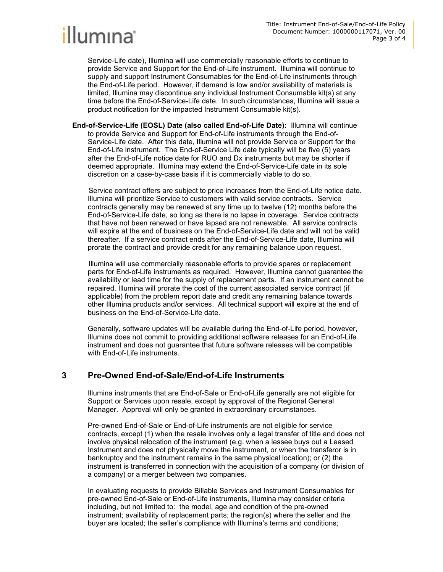

Service-Life date), Illumina will use commercially reasonable efforts to continue to provide Service and Support for the End-of-Life instrument. Illumina will continue to supply and support Instrument Consumables for the End-of-Life instruments through the End-of-Life period. However, if demand is low and/or availability of materials is limited, Illumina may discontinue any individual Instrument Consumable kit(s) at any time before the End-of-Service-Life date. In such circumstances, Illumina will issue a product notification for the impacted Instrument Consumable kit(s).

End-of-Service-Life (EOSL) Date (also called End-of-Life Date): Illumina will continue to provide Service and Support for End-of-Life instruments through the End-of-Service-Life date. After this date, Illumina will not provide Service or Support for the End-of-Life instrument. The End-of-Service Life date typically will be five (5) years after the End-of-Life notice date for RUO and Dx instruments but may be shorter if deemed appropriate. Illumina may extend the End-of-Service-Life date in its sole discretion on a case-by-case basis if it is commercially viable to do so.

Service contract offers are subject to price increases from the End-of-Life notice date. Illumina will prioritize Service to customers with valid service contracts. Service contracts generally may be renewed at any time up to twelve (12) months before the End-of-Service-Life date, so long as there is no lapse in coverage. Service contracts that have not been renewed or have lapsed are not renewable. All service contracts will expire at the end of business on the End-of-Service-Life date and will not be valid thereafter. If a service contract ends after the End-of-Service-Life date, Illumina will prorate the contract and provide credit for any remaining balance upon request.

Illumina will use commercially reasonable efforts to provide spares or replacement parts for End-of-Life instruments as required. However, Illumina cannot guarantee the availability or lead time for the supply of replacement parts. If an instrument cannot be repaired, Illumina will prorate the cost of the current associated service contract (if applicable) from the problem report date and credit any remaining balance towards other Illumina products and/or services. All technical support will expire at the end of business on the End-of-Service-Life date.

Generally, software updates will be available during the End-of-Life period, however, Illumina does not commit to providing additional software releases for an End-of-Life instrument and does not guarantee that future software releases will be compatible with End-of-Life instruments.

#### 3 Pre-Owned End-of-Sale/End-of-Life Instruments

Illumina instruments that are End-of-Sale or End-of-Life generally are not eligible for Support or Services upon resale, except by approval of the Regional General Manager. Approval will only be granted in extraordinary circumstances.

Pre-owned End-of-Sale or End-of-Life instruments are not eligible for service contracts, except (1) when the resale involves only a legal transfer of title and does not involve physical relocation of the instrument (e.g. when a lessee buys out a Leased Instrument and does not physically move the instrument, or when the transferor is in bankruptcy and the instrument remains in the same physical location); or (2) the instrument is transferred in connection with the acquisition of a company (or division of a company) or a merger between two companies.

In evaluating requests to provide Billable Services and Instrument Consumables for pre-owned End-of-Sale or End-of-Life instruments, Illumina may consider criteria including, but not limited to: the model, age and condition of the pre-owned instrument; availability of replacement parts; the region(s) where the seller and the buyer are located; the seller's compliance with Illumina's terms and conditions;